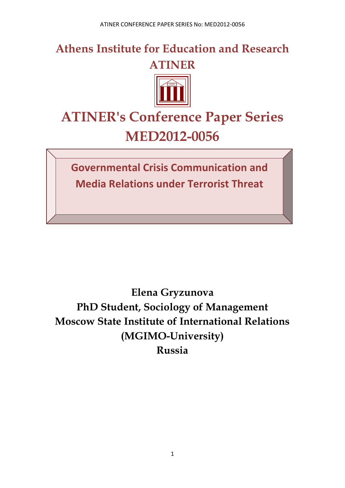**Athens Institute for Education and Research ATINER**



# **ATINER's Conference Paper Series MED2012-0056**

**Governmental Crisis Communication and Media Relations under Terrorist Threat**

**Elena Gryzunova PhD Student, Sociology of Management Moscow State Institute of International Relations (MGIMO-University) Russia**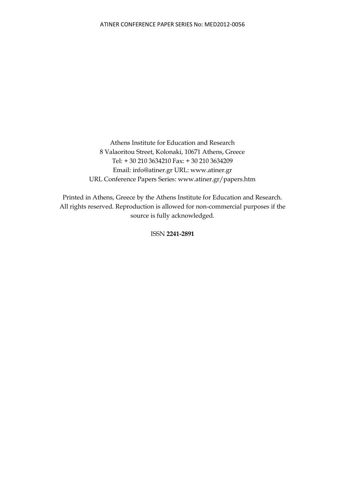Athens Institute for Education and Research 8 Valaoritou Street, Kolonaki, 10671 Athens, Greece Tel: + 30 210 3634210 Fax: + 30 210 3634209 Email: info@atiner.gr URL: www.atiner.gr URL Conference Papers Series: www.atiner.gr/papers.htm

Printed in Athens, Greece by the Athens Institute for Education and Research. All rights reserved. Reproduction is allowed for non-commercial purposes if the source is fully acknowledged.

ISSN **2241-2891**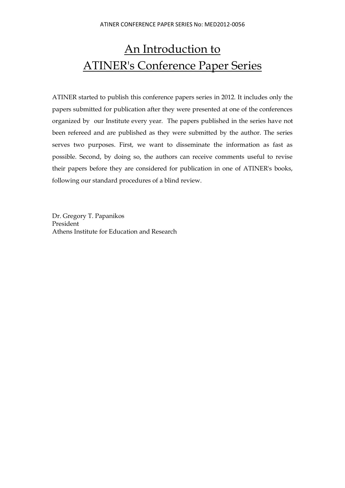## An Introduction to ATINER's Conference Paper Series

ATINER started to publish this conference papers series in 2012. It includes only the papers submitted for publication after they were presented at one of the conferences organized by our Institute every year. The papers published in the series have not been refereed and are published as they were submitted by the author. The series serves two purposes. First, we want to disseminate the information as fast as possible. Second, by doing so, the authors can receive comments useful to revise their papers before they are considered for publication in one of ATINER's books, following our standard procedures of a blind review.

Dr. Gregory T. Papanikos President Athens Institute for Education and Research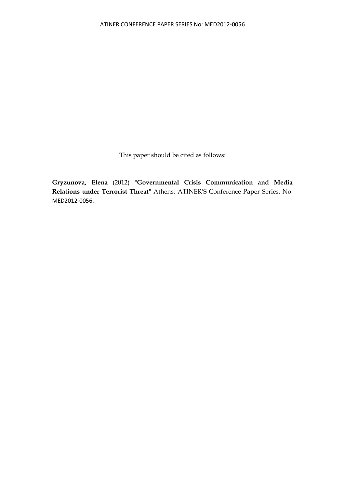This paper should be cited as follows:

**Gryzunova, Elena** (2012) "**Governmental Crisis Communication and Media Relations under Terrorist Threat**" Athens: ATINER'S Conference Paper Series, No: MED2012-0056.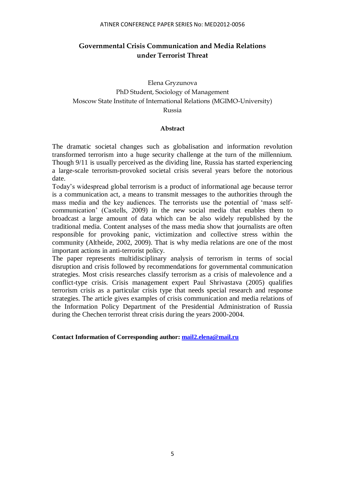#### ATINER CONFERENCE PAPER SERIES No: MED2012-0056

## **Governmental Crisis Communication and Media Relations under Terrorist Threat**

## Elena Gryzunova PhD Student, Sociology of Management Moscow State Institute of International Relations (MGIMO-University) Russia

#### **Abstract**

The dramatic societal changes such as globalisation and information revolution transformed terrorism into a huge security challenge at the turn of the millennium. Though 9/11 is usually perceived as the dividing line, Russia has started experiencing a large-scale terrorism-provoked societal crisis several years before the notorious date.

Today's widespread global terrorism is a product of informational age because terror is a communication act, a means to transmit messages to the authorities through the mass media and the key audiences. The terrorists use the potential of 'mass selfcommunication' (Castells, 2009) in the new social media that enables them to broadcast a large amount of data which can be also widely republished by the traditional media. Content analyses of the mass media show that journalists are often responsible for provoking panic, victimization and collective stress within the community (Altheide, 2002, 2009). That is why media relations are one of the most important actions in anti-terrorist policy.

The paper represents multidisciplinary analysis of terrorism in terms of social disruption and crisis followed by recommendations for governmental communication strategies. Most crisis researches classify terrorism as a crisis of malevolence and a conflict-type crisis. Crisis management expert Paul Shrivastava (2005) qualifies terrorism crisis as a particular crisis type that needs special research and response strategies. The article gives examples of crisis communication and media relations of the Information Policy Department of the Presidential Administration of Russia during the Chechen terrorist threat crisis during the years 2000-2004.

**Contact Information of Corresponding author: [mail2.elena@mail.ru](mailto:mail2.elena@mail.ru)**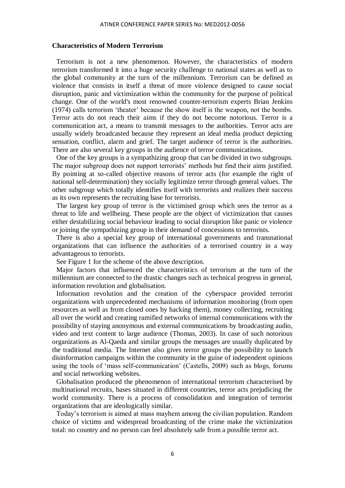#### **Characteristics of Modern Terrorism**

Terrorism is not a new phenomenon. However, the characteristics of modern terrorism transformed it into a huge security challenge to national states as well as to the global community at the turn of the millennium. Terrorism can be defined as violence that consists in itself a threat of more violence designed to cause social disruption, panic and victimization within the community for the purpose of political change. One of the world's most renowned counter-terrorism experts Brian Jenkins (1974) calls terrorism 'theater' because the show itself is the weapon, not the bombs. Terror acts do not reach their aims if they do not become notorious. Terror is a communication act, a means to transmit messages to the authorities. Terror acts are usually widely broadcasted because they represent an ideal media product depicting sensation, conflict, alarm and grief. The target audience of terror is the authorities. There are also several key groups in the audience of terror communications.

One of the key groups is a sympathizing group that can be divided in two subgroups. The major subgroup does not support terrorists' methods but find their aims justified. By pointing at so-called objective reasons of terror acts (for example the right of national self-determination) they socially legitimize terror through general values. The other subgroup which totally identifies itself with terrorists and realizes their success as its own represents the recruiting base for terrorists.

The largest key group of terror is the victimised group which sees the terror as a threat to life and wellbeing. These people are the object of victimization that causes either destabilizing social behaviour leading to social disruption like panic or violence or joining the sympathizing group in their demand of concessions to terrorists.

There is also a special key group of international governments and transnational organizations that can influence the authorities of a terrorised country in a way advantageous to terrorists.

See Figure 1 for the scheme of the above description.

Major factors that influenced the characteristics of terrorism at the turn of the millennium are connected to the drastic changes such as technical progress in general, information revolution and globalisation.

Information revolution and the creation of the cyberspace provided terrorist organizations with unprecedented mechanisms of information monitoring (from open resources as well as from closed ones by hacking them), money collecting, recruiting all over the world and creating ramified networks of internal communications with the possibility of staying anonymous and external communications by broadcasting audio, video and text content to large audience (Thomas, 2003). In case of such notorious organizations as Al-Qaeda and similar groups the messages are usually duplicated by the traditional media. The Internet also gives terror groups the possibility to launch disinformation campaigns within the community in the guise of independent opinions using the tools of 'mass self-communication' (Castells, 2009) such as blogs, forums and social networking websites.

Globalisation produced the phenomenon of international terrorism characterised by multinational recruits, bases situated in different countries, terror acts prejudicing the world community. There is a process of consolidation and integration of terrorist organizations that are ideologically similar.

Today's terrorism is aimed at mass mayhem among the civilian population. Random choice of victims and widespread broadcasting of the crime make the victimization total: no country and no person can feel absolutely safe from a possible terror act.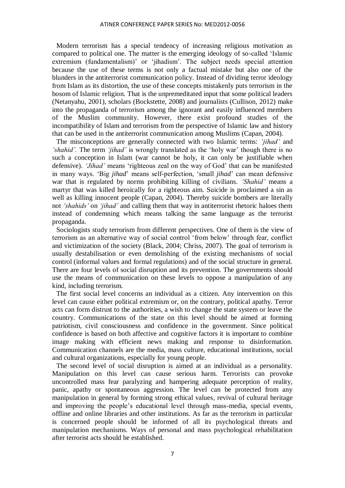Modern terrorism has a special tendency of increasing religious motivation as compared to political one. The matter is the emerging ideology of so-called 'Islamic extremism (fundamentalism)' or 'jihadism'. The subject needs special attention because the use of these terms is not only a factual mistake but also one of the blunders in the antiterrorist communication policy. Instead of dividing terror ideology from Islam as its distortion, the use of these concepts mistakenly puts terrorism in the bosom of Islamic religion. That is the unpremeditated input that some political leaders (Netanyahu, 2001), scholars (Bockstette, 2008) and journalists (Cullison, 2012) make into the propaganda of terrorism among the ignorant and easily influenced members of the Muslim community. However, there exist profound studies of the incompatibility of Islam and terrorism from the perspective of Islamic law and history that can be used in the antiterrorist communication among Muslims (Capan, 2004).

The misconceptions are generally connected with two Islamic terms: *'jihad'* and *'shahid'.* The term *'jihad'* is wrongly translated as the 'holy war' though there is no such a conception in Islam (war cannot be holy, it can only be justifiable when defensive). *'Jihad'* means 'righteous zeal on the way of God' that can be manifested in many ways. 'Big *jihad*' means self-perfection, 'small *jihad*' can mean defensive war that is regulated by norms prohibiting killing of civilians. *'Shahid'* means a martyr that was killed heroically for a righteous aim. Suicide is proclaimed a sin as well as killing innocent people (Capan, 2004). Thereby suicide bombers are literally not *'shahids'* on *'jihad'* and calling them that way in antiterrorist rhetoric haloes them instead of condemning which means talking the same language as the terrorist propaganda.

Sociologists study terrorism from different perspectives. One of them is the view of terrorism as an alternative way of social control 'from below' through fear, conflict and victimization of the society (Black, 2004; Chriss, 2007). The goal of terrorism is usually destabilisation or even demolishing of the existing mechanisms of social control (informal values and formal regulations) and of the social structure in general. There are four levels of social disruption and its prevention. The governments should use the means of communication on these levels to oppose a manipulation of any kind, including terrorism.

The first social level concerns an individual as a citizen. Any intervention on this level can cause either political extremism or, on the contrary, political apathy. Terror acts can form distrust to the authorities, a wish to change the state system or leave the country. Communications of the state on this level should be aimed at forming patriotism, civil consciousness and confidence in the government. Since political confidence is based on both affective and cognitive factors it is important to combine image making with efficient news making and response to disinformation. Communication channels are the media, mass culture, educational institutions, social and cultural organizations, especially for young people.

The second level of social disruption is aimed at an individual as a personality. Manipulation on this level can cause serious harm. Terrorists can provoke uncontrolled mass fear paralyzing and hampering adequate perception of reality, panic, apathy or spontaneous aggression. The level can be protected from any manipulation in general by forming strong ethical values, revival of cultural heritage and improving the people's educational level through mass-media, special events, offline and online libraries and other institutions. As far as the terrorism in particular is concerned people should be informed of all its psychological threats and manipulation mechanisms. Ways of personal and mass psychological rehabilitation after terrorist acts should be established.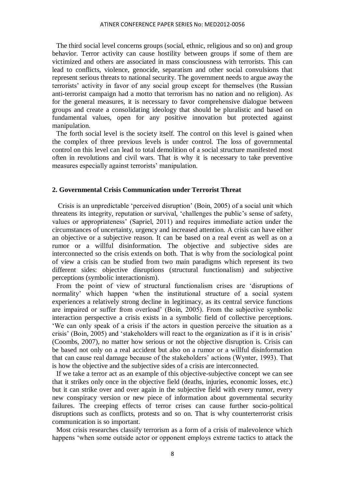The third social level concerns groups (social, ethnic, religious and so on) and group behavior. Terror activity can cause hostility between groups if some of them are victimized and others are associated in mass consciousness with terrorists. This can lead to conflicts, violence, genocide, separatism and other social convulsions that represent serious threats to national security. The government needs to argue away the terrorists' activity in favor of any social group except for themselves (the Russian anti-terrorist campaign had a motto that terrorism has no nation and no religion). As for the general measures, it is necessary to favor comprehensive dialogue between groups and create a consolidating ideology that should be pluralistic and based on fundamental values, open for any positive innovation but protected against manipulation.

The forth social level is the society itself. The control on this level is gained when the complex of three previous levels is under control. The loss of governmental control on this level can lead to total demolition of a social structure manifested most often in revolutions and civil wars. That is why it is necessary to take preventive measures especially against terrorists' manipulation.

#### **2. Governmental Crisis Communication under Terrorist Threat**

Crisis is an unpredictable 'perceived disruption' (Boin, 2005) of a social unit which threatens its integrity, reputation or survival, 'challenges the public's sense of safety, values or appropriateness' (Sapriel, 2011) and requires immediate action under the circumstances of uncertainty, urgency and increased attention. A crisis can have either an objective or a subjective reason. It can be based on a real event as well as on a rumor or a willful disinformation. The objective and subjective sides are interconnected so the crisis extends on both. That is why from the sociological point of view a crisis can be studied from two main paradigms which represent its two different sides: objective disruptions (structural functionalism) and subjective perceptions (symbolic interactionism).

From the point of view of structural functionalism crises are 'disruptions of normality' which happen 'when the institutional structure of a social system experiences a relatively strong decline in legitimacy, as its central service functions are impaired or suffer from overload' (Boin, 2005). From the subjective symbolic interaction perspective a crisis exists in a symbolic field of collective perceptions. 'We can only speak of a crisis if the actors in question perceive the situation as a crisis' (Boin, 2005) and 'stakeholders will react to the organization as if it is in crisis' (Coombs, 2007), no matter how serious or not the objective disruption is. Crisis can be based not only on a real accident but also on a rumor or a willful disinformation that can cause real damage because of the stakeholders' actions (Wynter, 1993). That is how the objective and the subjective sides of a crisis are interconnected.

If we take a terror act as an example of this objective-subjective concept we can see that it strikes only once in the objective field (deaths, injuries, economic losses, etc.) but it can strike over and over again in the subjective field with every rumor, every new conspiracy version or new piece of information about governmental security failures. The creeping effects of terror crises can cause further socio-political disruptions such as conflicts, protests and so on. That is why counterterrorist crisis communication is so important.

Most crisis researches classify terrorism as a form of a crisis of malevolence which happens 'when some outside actor or opponent employs extreme tactics to attack the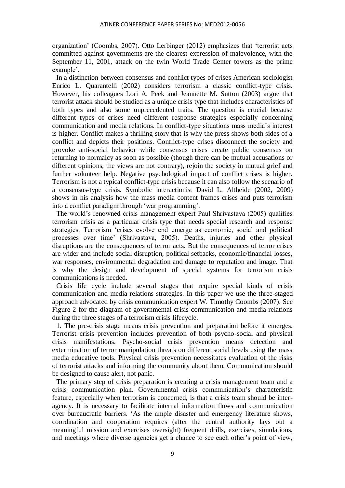organization' (Coombs, 2007). Otto Lerbinger (2012) emphasizes that 'terrorist acts committed against governments are the clearest expression of malevolence, with the September 11, 2001, attack on the twin World Trade Center towers as the prime example'.

In a distinction between consensus and conflict types of crises American sociologist Enrico L. Quarantelli (2002) considers terrorism a classic conflict-type crisis. However, his colleagues Lori A. Peek and Jeannette M. Sutton (2003) argue that terrorist attack should be studied as a unique crisis type that includes characteristics of both types and also some unprecedented traits. The question is crucial because different types of crises need different response strategies especially concerning communication and media relations. In conflict-type situations mass media's interest is higher. Conflict makes a thrilling story that is why the press shows both sides of a conflict and depicts their positions. Conflict-type crises disconnect the society and provoke anti-social behavior while consensus crises create public consensus on returning to normalcy as soon as possible (though there can be mutual accusations or different opinions, the views are not contrary), rejoin the society in mutual grief and further volunteer help. Negative psychological impact of conflict crises is higher. Terrorism is not a typical conflict-type crisis because it can also follow the scenario of a consensus-type crisis. Symbolic interactionist David L. Altheide (2002, 2009) shows in his analysis how the mass media content frames crises and puts terrorism into a conflict paradigm through 'war programming'.

The world's renowned crisis management expert Paul Shrivastava (2005) qualifies terrorism crisis as a particular crisis type that needs special research and response strategies. Terrorism 'crises evolve end emerge as economic, social and political processes over time' (Shrivastava, 2005). Deaths, injuries and other physical disruptions are the consequences of terror acts. But the consequences of terror crises are wider and include social disruption, political setbacks, economic/financial losses, war responses, environmental degradation and damage to reputation and image. That is why the design and development of special systems for terrorism crisis communications is needed.

Crisis life cycle include several stages that require special kinds of crisis communication and media relations strategies. In this paper we use the three-staged approach advocated by crisis communication expert W. Timothy Coombs (2007). See Figure 2 for the diagram of governmental crisis communication and media relations during the three stages of a terrorism crisis lifecycle.

1. The pre-crisis stage means crisis prevention and preparation before it emerges. Terrorist crisis prevention includes prevention of both psycho-social and physical crisis manifestations. Psycho-social crisis prevention means detection and extermination of terror manipulation threats on different social levels using the mass media educative tools. Physical crisis prevention necessitates evaluation of the risks of terrorist attacks and informing the community about them. Communication should be designed to cause alert, not panic.

The primary step of crisis preparation is creating a crisis management team and a crisis communication plan. Governmental crisis communication's characteristic feature, especially when terrorism is concerned, is that a crisis team should be interagency. It is necessary to facilitate internal information flows and communication over bureaucratic barriers. 'As the ample disaster and emergency literature shows, coordination and cooperation requires (after the central authority lays out a meaningful mission and exercises oversight) frequent drills, exercises, simulations, and meetings where diverse agencies get a chance to see each other's point of view,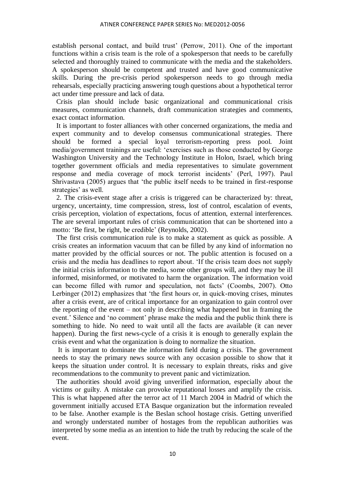establish personal contact, and build trust' (Perrow, 2011). One of the important functions within a crisis team is the role of a spokesperson that needs to be carefully selected and thoroughly trained to communicate with the media and the stakeholders. A spokesperson should be competent and trusted and have good communicative skills. During the pre-crisis period spokesperson needs to go through media rehearsals, especially practicing answering tough questions about a hypothetical terror act under time pressure and lack of data.

Crisis plan should include basic organizational and communicational crisis measures, communication channels, draft communication strategies and comments, exact contact information.

It is important to foster alliances with other concerned organizations, the media and expert community and to develop consensus communicational strategies. There should be formed a special loyal terrorism-reporting press pool. Joint media/government trainings are useful: 'exercises such as those conducted by George Washington University and the Technology Institute in Holon, Israel, which bring together government officials and media representatives to simulate government response and media coverage of mock terrorist incidents' (Perl, 1997). Paul Shrivastava (2005) argues that 'the public itself needs to be trained in first-response strategies' as well.

2. The crisis-event stage after a crisis is triggered can be characterized by: threat, urgency, uncertainty, time compression, stress, lost of control, escalation of events, crisis perception, violation of expectations, focus of attention, external interferences. The are several important rules of crisis communication that can be shortened into a motto: 'Be first, be right, be credible' (Reynolds, 2002).

The first crisis communication rule is to make a statement as quick as possible. A crisis creates an information vacuum that can be filled by any kind of information no matter provided by the official sources or not. The public attention is focused on a crisis and the media has deadlines to report about. 'If the crisis team does not supply the initial crisis information to the media, some other groups will, and they may be ill informed, misinformed, or motivated to harm the organization. The information void can become filled with rumor and speculation, not facts' (Coombs, 2007). Otto Lerbinger (2012) emphasizes that 'the first hours or, in quick-moving crises, minutes after a crisis event, are of critical importance for an organization to gain control over the reporting of the event – not only in describing what happened but in framing the event.' Silence and 'no comment' phrase make the media and the public think there is something to hide. No need to wait until all the facts are available (it can never happen). During the first news-cycle of a crisis it is enough to generally explain the crisis event and what the organization is doing to normalize the situation.

It is important to dominate the information field during a crisis. The government needs to stay the primary news source with any occasion possible to show that it keeps the situation under control. It is necessary to explain threats, risks and give recommendations to the community to prevent panic and victimization.

The authorities should avoid giving unverified information, especially about the victims or guilty. A mistake can provoke reputational losses and amplify the crisis. This is what happened after the terror act of 11 March 2004 in Madrid of which the government initially accused ETA Basque organization but the information revealed to be false. Another example is the Beslan school hostage crisis. Getting unverified and wrongly understated number of hostages from the republican authorities was interpreted by some media as an intention to hide the truth by reducing the scale of the event.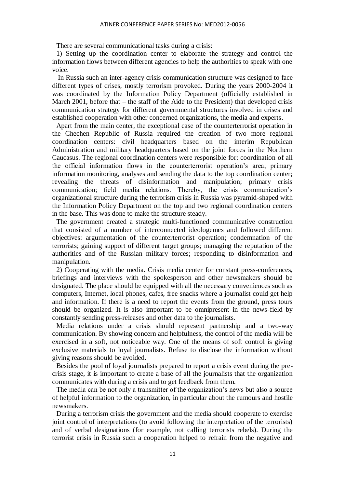There are several communicational tasks during a crisis:

1) Setting up the coordination center to elaborate the strategy and control the information flows between different agencies to help the authorities to speak with one voice.

In Russia such an inter-agency crisis communication structure was designed to face different types of crises, mostly terrorism provoked. During the years 2000-2004 it was coordinated by the Information Policy Department (officially established in March 2001, before that – the staff of the Aide to the President) that developed crisis communication strategy for different governmental structures involved in crises and established cooperation with other concerned organizations, the media and experts.

Apart from the main center, the exceptional case of the counterterrorist operation in the Chechen Republic of Russia required the creation of two more regional coordination centers: civil headquarters based on the interim Republican Administration and military headquarters based on the joint forces in the Northern Caucasus. The regional coordination centers were responsible for: coordination of all the official information flows in the counterterrorist operation's area; primary information monitoring, analyses and sending the data to the top coordination center; revealing the threats of disinformation and manipulation; primary crisis communication; field media relations. Thereby, the crisis communication's organizational structure during the terrorism crisis in Russia was pyramid-shaped with the Information Policy Department on the top and two regional coordination centers in the base. This was done to make the structure steady.

The government created a strategic multi-functioned communicative construction that consisted of a number of interconnected ideologemes and followed different objectives: argumentation of the counterterrorist operation; condemnation of the terrorists; gaining support of different target groups; managing the reputation of the authorities and of the Russian military forces; responding to disinformation and manipulation.

2) Cooperating with the media. Crisis media center for constant press-conferences, briefings and interviews with the spokesperson and other newsmakers should be designated. The place should be equipped with all the necessary conveniences such as computers, Internet, local phones, cafes, free snacks where a journalist could get help and information. If there is a need to report the events from the ground, press tours should be organized. It is also important to be omnipresent in the news-field by constantly sending press-releases and other data to the journalists.

Media relations under a crisis should represent partnership and a two-way communication. By showing concern and helpfulness, the control of the media will be exercised in a soft, not noticeable way. One of the means of soft control is giving exclusive materials to loyal journalists. Refuse to disclose the information without giving reasons should be avoided.

Besides the pool of loyal journalists prepared to report a crisis event during the precrisis stage, it is important to create a base of all the journalists that the organization communicates with during a crisis and to get feedback from them.

The media can be not only a transmitter of the organization's news but also a source of helpful information to the organization, in particular about the rumours and hostile newsmakers.

During a terrorism crisis the government and the media should cooperate to exercise joint control of interpretations (to avoid following the interpretation of the terrorists) and of verbal designations (for example, not calling terrorists rebels). During the terrorist crisis in Russia such a cooperation helped to refrain from the negative and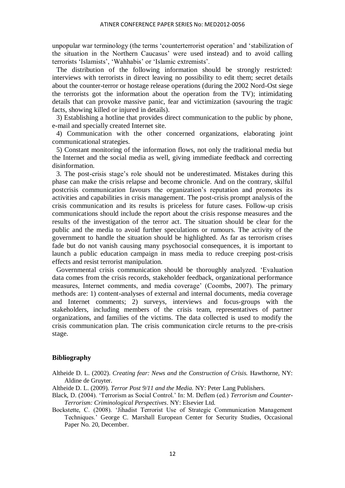unpopular war terminology (the terms 'counterterrorist operation' and 'stabilization of the situation in the Northern Caucasus' were used instead) and to avoid calling terrorists 'Islamists', 'Wahhabis' or 'Islamic extremists'.

The distribution of the following information should be strongly restricted: interviews with terrorists in direct leaving no possibility to edit them; secret details about the counter-terror or hostage release operations (during the 2002 Nord-Ost siege the terrorists got the information about the operation from the TV); intimidating details that can provoke massive panic, fear and victimization (savouring the tragic facts, showing killed or injured in details).

 3) Establishing a hotline that provides direct communication to the public by phone, e-mail and specially created Internet site.

4) Communication with the other concerned organizations, elaborating joint communicational strategies.

5) Constant monitoring of the information flows, not only the traditional media but the Internet and the social media as well, giving immediate feedback and correcting disinformation.

3. The post-crisis stage's role should not be underestimated. Mistakes during this phase can make the crisis relapse and become chronicle. And on the contrary, skilful postcrisis communication favours the organization's reputation and promotes its activities and capabilities in crisis management. The post-crisis prompt analysis of the crisis communication and its results is priceless for future cases. Follow-up crisis communications should include the report about the crisis response measures and the results of the investigation of the terror act. The situation should be clear for the public and the media to avoid further speculations or rumours. The activity of the government to handle the situation should be highlighted. As far as terrorism crises fade but do not vanish causing many psychosocial consequences, it is important to launch a public education campaign in mass media to reduce creeping post-crisis effects and resist terrorist manipulation.

Governmental crisis communication should be thoroughly analyzed. 'Evaluation data comes from the crisis records, stakeholder feedback, organizational performance measures, Internet comments, and media coverage' (Coombs, 2007). The primary methods are: 1) content-analyses of external and internal documents, media coverage and Internet comments; 2) surveys, interviews and focus-groups with the stakeholders, including members of the crisis team, representatives of partner organizations, and families of the victims. The data collected is used to modify the crisis communication plan. The crisis communication circle returns to the pre-crisis stage.

#### **Bibliography**

Altheide D. L. (2002). *Creating fear: News and the Construction of Crisis.* Hawthorne, NY: Aldine de Gruyter.

Altheide D. L. (2009). *Terror Post 9/11 and the Media.* NY: Peter Lang Publishers.

- Black, D. (2004). 'Terrorism as Social Control.' In: M. Deflem (ed.) *Terrorism and Counter-Terrorism: Criminological Perspectives*. NY: Elsevier Ltd.
- Bockstette, C. (2008). 'Jihadist Terrorist Use of Strategic Communication Management Techniques.' George C. Marshall European Center for Security Studies, Occasional Paper No. 20, December.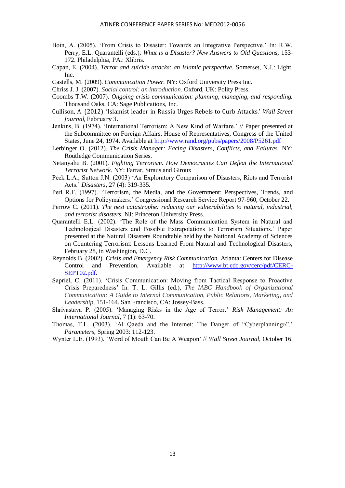- Boin, A. (2005). 'From Crisis to Disaster: Towards an Integrative Perspective.' In: R.W. Perry, E.L. Quarantelli (eds.), *What is a Disaster? New Answers to Old Questions,* 153- 172. Philadelphia, PA.: Xlibris.
- Capan, E. (2004). *Terror and suicide attacks: an Islamic perspective.* Somerset, N.J.: Light, Inc.
- Castells, M. (2009). *Communication Power.* NY: Oxford University Press Inc.
- Chriss J. J. (2007). *Social control: an introduction.* Oxford, UK: Polity Press.
- Coombs T.W. (2007). *Ongoing crisis communication: planning, managing, and responding.*  Thousand Oaks, CA: Sage Publications, Inc.
- Cullison, A. (2012). 'Islamist leader in Russia Urges Rebels to Curb Attacks.' *Wall Street Journal,* February 3.
- Jenkins, B. (1974). 'International Terrorism: A New Kind of Warfare.' // Paper presented at the Subcommittee on Foreign Affairs, House of Representatives, Congress of the United States, June 24, 1974. Available at<http://www.rand.org/pubs/papers/2008/P5261.pdf>
- Lerbinger O. (2012). *The Crisis Manager: Facing Disasters, Conflicts, and Failures.* NY: Routledge Communication Series.
- Netanyahu B. (2001). *Fighting Terrorism. How Democracies Can Defeat the International Terrorist Network.* NY: Farrar, Straus and Giroux
- Peek L.A., Sutton J.N. (2003) 'An Exploratory Comparison of Disasters, Riots and Terrorist Acts.' *Disasters,* 27 (4): 319-335.
- Perl R.F. (1997). 'Terrorism, the Media, and the Government: Perspectives, Trends, and Options for Policymakers.' Congressional Research Service Report 97-960, October 22.
- Perrow C. (2011). *The next catastrophe: reducing our vulnerabilities to natural, industrial, and terrorist disasters.* NJ: Princeton University Press.
- Quarantelli E.L. (2002). 'The Role of the Mass Communication System in Natural and Technological Disasters and Possible Extrapolations to Terrorism Situations.' Paper presented at the Natural Disasters Roundtable held by the National Academy of Sciences on Countering Terrorism: Lessons Learned From Natural and Technological Disasters, February 28, in Washington, D.C.
- Reynolds B. (2002). *Crisis and Emergency Risk Communication.* Atlanta: Centers for Disease Control and Prevention. Available at [http://www.bt.cdc.gov/cerc/pdf/CERC-](http://www.bt.cdc.gov/cerc/pdf/CERC-SEPT02.pdf)[SEPT02.pdf.](http://www.bt.cdc.gov/cerc/pdf/CERC-SEPT02.pdf)
- Sapriel, C. (2011). 'Crisis Communication: Moving from Tactical Response to Proactive Crisis Preparedness' In: T. L. Gillis (ed.), *The IABC Handbook of Organizational Communication: A Guide to Internal Communication, Public Relations, Marketing, and Leadership,* 151-164. San Francisco, CA: Jossey-Bass.
- Shrivastava P. (2005). 'Managing Risks in the Age of Terror.' *Risk Management: An International Journal,* 7 (1): 63-70.
- Thomas, T.L. (2003). 'Al Qaeda and the Internet: The Danger of "Cyberplanning»".' *Parameters*, Spring 2003: 112-123.
- Wynter L.E. (1993). 'Word of Mouth Can Be A Weapon' // *Wall Street Journal*, October 16.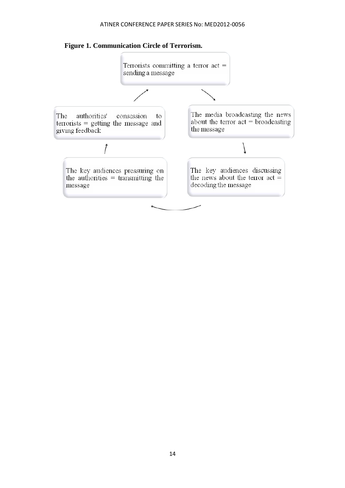#### ATINER CONFERENCE PAPER SERIES No: MED2012-0056



## **Figure 1. Communication Circle of Terrorism.**